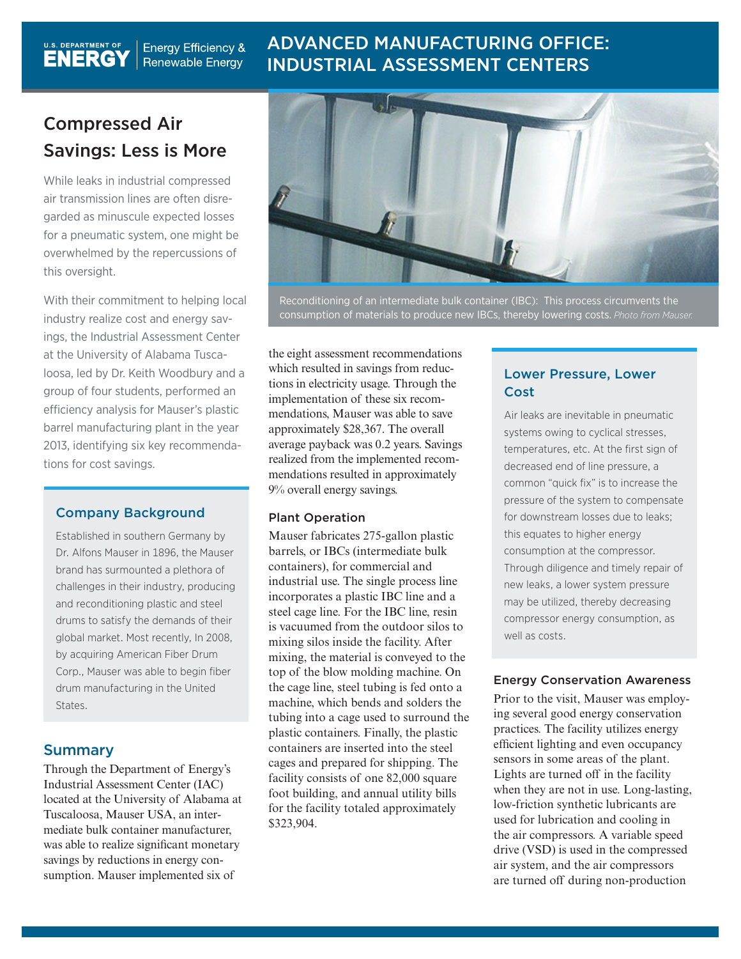# ADVANCED MANUFACTURING OFFICE: INDUSTRIAL ASSESSMENT CENTERS

# Compressed Air Savings: Less is More

**Energy Efficiency &** Renewable Energy

U.S. DEPARTMENT OF

While leaks in industrial compressed air transmission lines are often disregarded as minuscule expected losses for a pneumatic system, one might be overwhelmed by the repercussions of this oversight.

With their commitment to helping local industry realize cost and energy savings, the Industrial Assessment Center at the University of Alabama Tuscaloosa, led by Dr. Keith Woodbury and a group of four students, performed an efficiency analysis for Mauser's plastic barrel manufacturing plant in the year 2013, identifying six key recommendations for cost savings.

#### Company Background

Established in southern Germany by Dr. Alfons Mauser in 1896, the Mauser brand has surmounted a plethora of challenges in their industry, producing and reconditioning plastic and steel drums to satisfy the demands of their global market. Most recently, In 2008, by acquiring American Fiber Drum Corp., Mauser was able to begin fiber drum manufacturing in the United States.

## Summary

Through the Department of Energy's Industrial Assessment Center (IAC) located at the University of Alabama at Tuscaloosa, Mauser USA, an intermediate bulk container manufacturer, was able to realize significant monetary savings by reductions in energy consumption. Mauser implemented six of



Reconditioning of an intermediate bulk container (IBC): This process circumvents the consumption of materials to produce new IBCs, thereby lowering costs. *Photo from Mauser.*

the eight assessment recommendations which resulted in savings from reductions in electricity usage. Through the implementation of these six recommendations, Mauser was able to save approximately \$28,367. The overall average payback was 0.2 years. Savings realized from the implemented recommendations resulted in approximately 9% overall energy savings.

#### Plant Operation

Mauser fabricates 275-gallon plastic barrels, or IBCs (intermediate bulk containers), for commercial and industrial use. The single process line incorporates a plastic IBC line and a steel cage line. For the IBC line, resin is vacuumed from the outdoor silos to mixing silos inside the facility. After mixing, the material is conveyed to the top of the blow molding machine. On the cage line, steel tubing is fed onto a machine, which bends and solders the tubing into a cage used to surround the plastic containers. Finally, the plastic containers are inserted into the steel cages and prepared for shipping. The facility consists of one 82,000 square foot building, and annual utility bills for the facility totaled approximately \$323,904.

### Lower Pressure, Lower Cost

Air leaks are inevitable in pneumatic systems owing to cyclical stresses, temperatures, etc. At the first sign of decreased end of line pressure, a common "quick fix" is to increase the pressure of the system to compensate for downstream losses due to leaks; this equates to higher energy consumption at the compressor. Through diligence and timely repair of new leaks, a lower system pressure may be utilized, thereby decreasing compressor energy consumption, as well as costs.

#### Energy Conservation Awareness

Prior to the visit, Mauser was employing several good energy conservation practices. The facility utilizes energy efficient lighting and even occupancy sensors in some areas of the plant. Lights are turned off in the facility when they are not in use. Long-lasting, low-friction synthetic lubricants are used for lubrication and cooling in the air compressors. A variable speed drive (VSD) is used in the compressed air system, and the air compressors are turned off during non-production